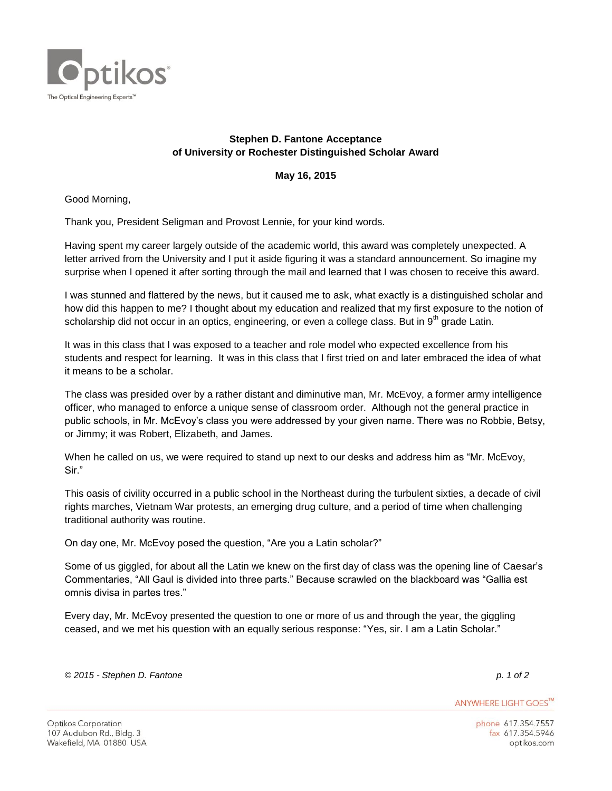

## **Stephen D. Fantone Acceptance of University or Rochester Distinguished Scholar Award**

## **May 16, 2015**

Good Morning,

Thank you, President Seligman and Provost Lennie, for your kind words.

Having spent my career largely outside of the academic world, this award was completely unexpected. A letter arrived from the University and I put it aside figuring it was a standard announcement. So imagine my surprise when I opened it after sorting through the mail and learned that I was chosen to receive this award.

I was stunned and flattered by the news, but it caused me to ask, what exactly is a distinguished scholar and how did this happen to me? I thought about my education and realized that my first exposure to the notion of scholarship did not occur in an optics, engineering, or even a college class. But in 9<sup>th</sup> grade Latin.

It was in this class that I was exposed to a teacher and role model who expected excellence from his students and respect for learning. It was in this class that I first tried on and later embraced the idea of what it means to be a scholar.

The class was presided over by a rather distant and diminutive man, Mr. McEvoy, a former army intelligence officer, who managed to enforce a unique sense of classroom order. Although not the general practice in public schools, in Mr. McEvoy's class you were addressed by your given name. There was no Robbie, Betsy, or Jimmy; it was Robert, Elizabeth, and James.

When he called on us, we were required to stand up next to our desks and address him as "Mr. McEvoy, Sir."

This oasis of civility occurred in a public school in the Northeast during the turbulent sixties, a decade of civil rights marches, Vietnam War protests, an emerging drug culture, and a period of time when challenging traditional authority was routine.

On day one, Mr. McEvoy posed the question, "Are you a Latin scholar?"

Some of us giggled, for about all the Latin we knew on the first day of class was the opening line of Caesar's Commentaries, "All Gaul is divided into three parts." Because scrawled on the blackboard was "Gallia est omnis divisa in partes tres."

Every day, Mr. McEvoy presented the question to one or more of us and through the year, the giggling ceased, and we met his question with an equally serious response: "Yes, sir. I am a Latin Scholar."

*© 2015 - Stephen D. Fantone p. 1 of 2*

ANYWHERE LIGHT GOES™

phone 617.354.7557 fax 617.354.5946 optikos.com